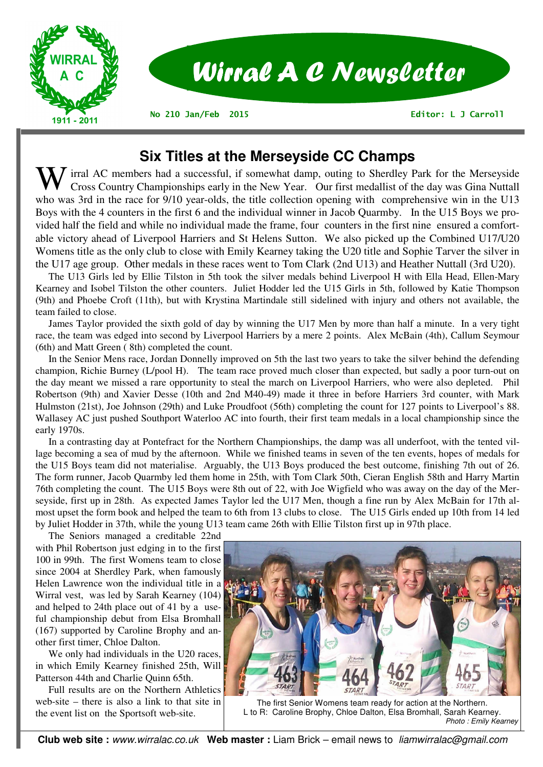

# **Six Titles at the Merseyside CC Champs**

Irral AC members had a successful, if somewhat damp, outing to Sherdley Park for the Merseyside Cross Country Championships early in the New Year. Our first medallist of the day was Gina Nuttall who was 3rd in the race for 9/10 year-olds, the title collection opening with comprehensive win in the U13 Boys with the 4 counters in the first 6 and the individual winner in Jacob Quarmby. In the U15 Boys we provided half the field and while no individual made the frame, four counters in the first nine ensured a comfortable victory ahead of Liverpool Harriers and St Helens Sutton. We also picked up the Combined U17/U20 Womens title as the only club to close with Emily Kearney taking the U20 title and Sophie Tarver the silver in the U17 age group. Other medals in these races went to Tom Clark (2nd U13) and Heather Nuttall (3rd U20).

 The U13 Girls led by Ellie Tilston in 5th took the silver medals behind Liverpool H with Ella Head, Ellen-Mary Kearney and Isobel Tilston the other counters. Juliet Hodder led the U15 Girls in 5th, followed by Katie Thompson (9th) and Phoebe Croft (11th), but with Krystina Martindale still sidelined with injury and others not available, the team failed to close.

 James Taylor provided the sixth gold of day by winning the U17 Men by more than half a minute. In a very tight race, the team was edged into second by Liverpool Harriers by a mere 2 points. Alex McBain (4th), Callum Seymour (6th) and Matt Green ( 8th) completed the count.

 In the Senior Mens race, Jordan Donnelly improved on 5th the last two years to take the silver behind the defending champion, Richie Burney (L/pool H). The team race proved much closer than expected, but sadly a poor turn-out on the day meant we missed a rare opportunity to steal the march on Liverpool Harriers, who were also depleted. Phil Robertson (9th) and Xavier Desse (10th and 2nd M40-49) made it three in before Harriers 3rd counter, with Mark Hulmston (21st), Joe Johnson (29th) and Luke Proudfoot (56th) completing the count for 127 points to Liverpool's 88. Wallasey AC just pushed Southport Waterloo AC into fourth, their first team medals in a local championship since the early 1970s.

 In a contrasting day at Pontefract for the Northern Championships, the damp was all underfoot, with the tented village becoming a sea of mud by the afternoon. While we finished teams in seven of the ten events, hopes of medals for the U15 Boys team did not materialise. Arguably, the U13 Boys produced the best outcome, finishing 7th out of 26. The form runner, Jacob Quarmby led them home in 25th, with Tom Clark 50th, Cieran English 58th and Harry Martin 76th completing the count. The U15 Boys were 8th out of 22, with Joe Wigfield who was away on the day of the Merseyside, first up in 28th. As expected James Taylor led the U17 Men, though a fine run by Alex McBain for 17th almost upset the form book and helped the team to 6th from 13 clubs to close. The U15 Girls ended up 10th from 14 led by Juliet Hodder in 37th, while the young U13 team came 26th with Ellie Tilston first up in 97th place.

 The Seniors managed a creditable 22nd with Phil Robertson just edging in to the first 100 in 99th. The first Womens team to close since 2004 at Sherdley Park, when famously Helen Lawrence won the individual title in a Wirral vest, was led by Sarah Kearney (104) and helped to 24th place out of 41 by a useful championship debut from Elsa Bromhall (167) supported by Caroline Brophy and another first timer, Chloe Dalton.

 We only had individuals in the U20 races, in which Emily Kearney finished 25th, Will Patterson 44th and Charlie Quinn 65th.

 Full results are on the Northern Athletics web-site – there is also a link to that site in the event list on the Sportsoft web-site.



The first Senior Womens team ready for action at the Northern. L to R: Caroline Brophy, Chloe Dalton, Elsa Bromhall, Sarah Kearney. *Photo : Emily Kearney*